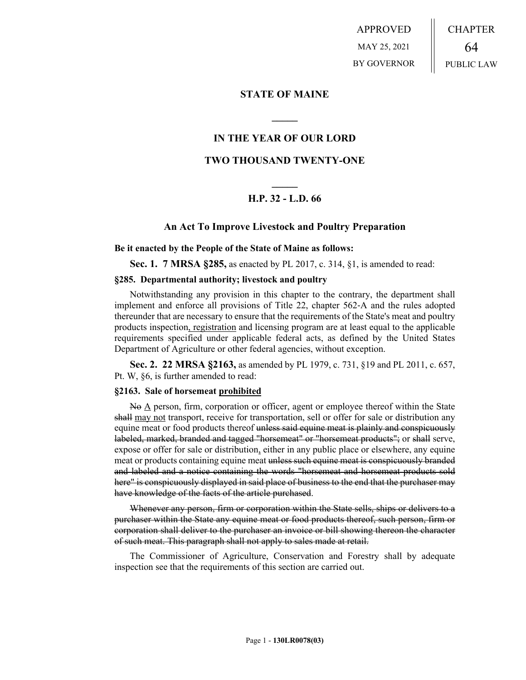APPROVED MAY 25, 2021 BY GOVERNOR CHAPTER 64 PUBLIC LAW

## **STATE OF MAINE**

# **IN THE YEAR OF OUR LORD**

**\_\_\_\_\_**

# **TWO THOUSAND TWENTY-ONE**

# **\_\_\_\_\_ H.P. 32 - L.D. 66**

### **An Act To Improve Livestock and Poultry Preparation**

#### **Be it enacted by the People of the State of Maine as follows:**

**Sec. 1. 7 MRSA §285,** as enacted by PL 2017, c. 314, §1, is amended to read:

#### **§285. Departmental authority; livestock and poultry**

Notwithstanding any provision in this chapter to the contrary, the department shall implement and enforce all provisions of Title 22, chapter 562‑A and the rules adopted thereunder that are necessary to ensure that the requirements of the State's meat and poultry products inspection, registration and licensing program are at least equal to the applicable requirements specified under applicable federal acts, as defined by the United States Department of Agriculture or other federal agencies, without exception.

**Sec. 2. 22 MRSA §2163,** as amended by PL 1979, c. 731, §19 and PL 2011, c. 657, Pt. W, §6, is further amended to read:

#### **§2163. Sale of horsemeat prohibited**

No A person, firm, corporation or officer, agent or employee thereof within the State shall may not transport, receive for transportation, sell or offer for sale or distribution any equine meat or food products thereof unless said equine meat is plainly and conspicuously labeled, marked, branded and tagged "horsemeat" or "horsemeat products"; or shall serve, expose or offer for sale or distribution, either in any public place or elsewhere, any equine meat or products containing equine meat unless such equine meat is conspicuously branded and labeled and a notice containing the words "horsemeat and horsemeat products sold here" is conspicuously displayed in said place of business to the end that the purchaser may have knowledge of the facts of the article purchased.

Whenever any person, firm or corporation within the State sells, ships or delivers to a purchaser within the State any equine meat or food products thereof, such person, firm or corporation shall deliver to the purchaser an invoice or bill showing thereon the character of such meat. This paragraph shall not apply to sales made at retail.

The Commissioner of Agriculture, Conservation and Forestry shall by adequate inspection see that the requirements of this section are carried out.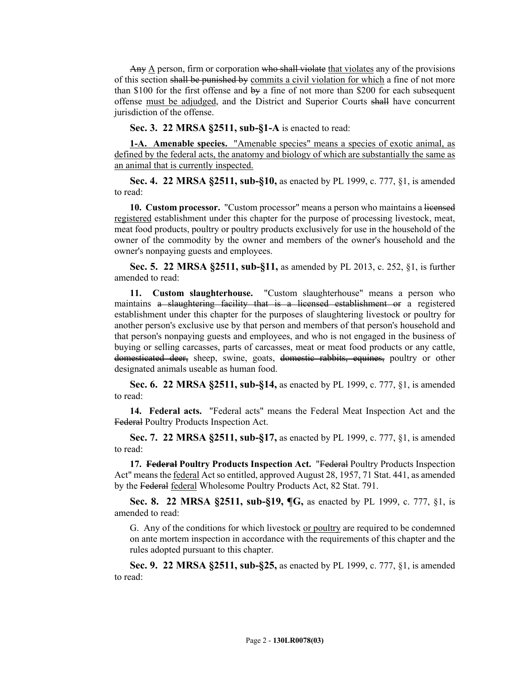Any  $\triangle$  person, firm or corporation who shall violate that violates any of the provisions of this section shall be punished by commits a civil violation for which a fine of not more than \$100 for the first offense and  $\theta y$  a fine of not more than \$200 for each subsequent offense must be adjudged, and the District and Superior Courts shall have concurrent jurisdiction of the offense.

**Sec. 3. 22 MRSA §2511, sub-§1-A** is enacted to read:

**1-A. Amenable species.** "Amenable species" means a species of exotic animal, as defined by the federal acts, the anatomy and biology of which are substantially the same as an animal that is currently inspected.

**Sec. 4. 22 MRSA §2511, sub-§10,** as enacted by PL 1999, c. 777, §1, is amended to read:

**10. Custom processor.** "Custom processor" means a person who maintains a licensed registered establishment under this chapter for the purpose of processing livestock, meat, meat food products, poultry or poultry products exclusively for use in the household of the owner of the commodity by the owner and members of the owner's household and the owner's nonpaying guests and employees.

**Sec. 5. 22 MRSA §2511, sub-§11,** as amended by PL 2013, c. 252, §1, is further amended to read:

**11. Custom slaughterhouse.** "Custom slaughterhouse" means a person who maintains a slaughtering facility that is a licensed establishment or a registered establishment under this chapter for the purposes of slaughtering livestock or poultry for another person's exclusive use by that person and members of that person's household and that person's nonpaying guests and employees, and who is not engaged in the business of buying or selling carcasses, parts of carcasses, meat or meat food products or any cattle, domesticated deer, sheep, swine, goats, domestic rabbits, equines, poultry or other designated animals useable as human food.

**Sec. 6. 22 MRSA §2511, sub-§14, as enacted by PL 1999, c. 777, §1, is amended** to read:

**14. Federal acts.** "Federal acts" means the Federal Meat Inspection Act and the Federal Poultry Products Inspection Act.

**Sec. 7. 22 MRSA §2511, sub-§17, as enacted by PL 1999, c. 777, §1, is amended** to read:

**17. Federal Poultry Products Inspection Act.** "Federal Poultry Products Inspection Act" means the federal Act so entitled, approved August 28, 1957, 71 Stat. 441, as amended by the Federal federal Wholesome Poultry Products Act, 82 Stat. 791.

**Sec. 8. 22 MRSA §2511, sub-§19, ¶G,** as enacted by PL 1999, c. 777, §1, is amended to read:

G. Any of the conditions for which livestock or poultry are required to be condemned on ante mortem inspection in accordance with the requirements of this chapter and the rules adopted pursuant to this chapter.

**Sec. 9. 22 MRSA §2511, sub-§25,** as enacted by PL 1999, c. 777, §1, is amended to read: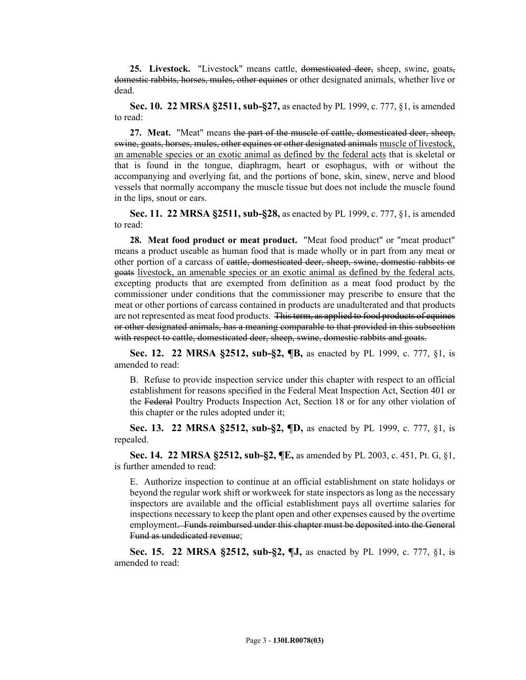25. Livestock. "Livestock" means cattle, domesticated deer, sheep, swine, goats, domestic rabbits, horses, mules, other equines or other designated animals, whether live or dead.

**Sec. 10. 22 MRSA §2511, sub-§27,** as enacted by PL 1999, c. 777, §1, is amended to read:

**27. Meat.** "Meat" means the part of the muscle of cattle, domesticated deer, sheep, swine, goats, horses, mules, other equines or other designated animals muscle of livestock, an amenable species or an exotic animal as defined by the federal acts that is skeletal or that is found in the tongue, diaphragm, heart or esophagus, with or without the accompanying and overlying fat, and the portions of bone, skin, sinew, nerve and blood vessels that normally accompany the muscle tissue but does not include the muscle found in the lips, snout or ears.

**Sec. 11. 22 MRSA §2511, sub-§28,** as enacted by PL 1999, c. 777, §1, is amended to read:

**28. Meat food product or meat product.** "Meat food product" or "meat product" means a product useable as human food that is made wholly or in part from any meat or other portion of a carcass of cattle, domesticated deer, sheep, swine, domestic rabbits or goats livestock, an amenable species or an exotic animal as defined by the federal acts, excepting products that are exempted from definition as a meat food product by the commissioner under conditions that the commissioner may prescribe to ensure that the meat or other portions of carcass contained in products are unadulterated and that products are not represented as meat food products. This term, as applied to food products of equines or other designated animals, has a meaning comparable to that provided in this subsection with respect to cattle, domesticated deer, sheep, swine, domestic rabbits and goats.

**Sec. 12. 22 MRSA §2512, sub-§2, ¶B,** as enacted by PL 1999, c. 777, §1, is amended to read:

B. Refuse to provide inspection service under this chapter with respect to an official establishment for reasons specified in the Federal Meat Inspection Act, Section 401 or the Federal Poultry Products Inspection Act, Section 18 or for any other violation of this chapter or the rules adopted under it;

**Sec. 13. 22 MRSA §2512, sub-§2, ¶D,** as enacted by PL 1999, c. 777, §1, is repealed.

**Sec. 14. 22 MRSA §2512, sub-§2, ¶E,** as amended by PL 2003, c. 451, Pt. G, §1, is further amended to read:

E. Authorize inspection to continue at an official establishment on state holidays or beyond the regular work shift or workweek for state inspectors as long as the necessary inspectors are available and the official establishment pays all overtime salaries for inspections necessary to keep the plant open and other expenses caused by the overtime employment. Funds reimbursed under this chapter must be deposited into the General Fund as undedicated revenue;

**Sec. 15. 22 MRSA §2512, sub-§2, ¶J,** as enacted by PL 1999, c. 777, §1, is amended to read: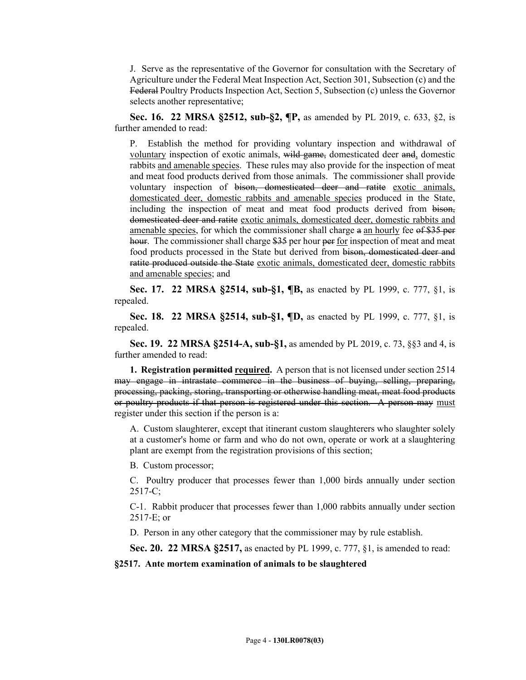J. Serve as the representative of the Governor for consultation with the Secretary of Agriculture under the Federal Meat Inspection Act, Section 301, Subsection (c) and the Federal Poultry Products Inspection Act, Section 5, Subsection (c) unless the Governor selects another representative;

**Sec. 16. 22 MRSA §2512, sub-§2, ¶P,** as amended by PL 2019, c. 633, §2, is further amended to read:

P. Establish the method for providing voluntary inspection and withdrawal of voluntary inspection of exotic animals, wild game, domesticated deer and, domestic rabbits and amenable species. These rules may also provide for the inspection of meat and meat food products derived from those animals. The commissioner shall provide voluntary inspection of bison, domesticated deer and ratite exotic animals, domesticated deer, domestic rabbits and amenable species produced in the State, including the inspection of meat and meat food products derived from bison, domesticated deer and ratite exotic animals, domesticated deer, domestic rabbits and amenable species, for which the commissioner shall charge a an hourly fee of \$35 per hour. The commissioner shall charge \$35 per hour per for inspection of meat and meat food products processed in the State but derived from bison, domesticated deer and ratite produced outside the State exotic animals, domesticated deer, domestic rabbits and amenable species; and

**Sec. 17. 22 MRSA §2514, sub-§1, ¶B,** as enacted by PL 1999, c. 777, §1, is repealed.

**Sec. 18. 22 MRSA §2514, sub-§1, ¶D,** as enacted by PL 1999, c. 777, §1, is repealed.

**Sec. 19. 22 MRSA §2514-A, sub-§1,** as amended by PL 2019, c. 73, §§3 and 4, is further amended to read:

**1. Registration permitted required.** A person that is not licensed under section 2514 may engage in intrastate commerce in the business of buying, selling, preparing, processing, packing, storing, transporting or otherwise handling meat, meat food products or poultry products if that person is registered under this section. A person may must register under this section if the person is a:

A. Custom slaughterer, except that itinerant custom slaughterers who slaughter solely at a customer's home or farm and who do not own, operate or work at a slaughtering plant are exempt from the registration provisions of this section;

B. Custom processor;

C. Poultry producer that processes fewer than 1,000 birds annually under section  $2517 - C$ ;

C-1. Rabbit producer that processes fewer than 1,000 rabbits annually under section 2517‑E; or

D. Person in any other category that the commissioner may by rule establish.

**Sec. 20. 22 MRSA §2517,** as enacted by PL 1999, c. 777, §1, is amended to read:

**§2517. Ante mortem examination of animals to be slaughtered**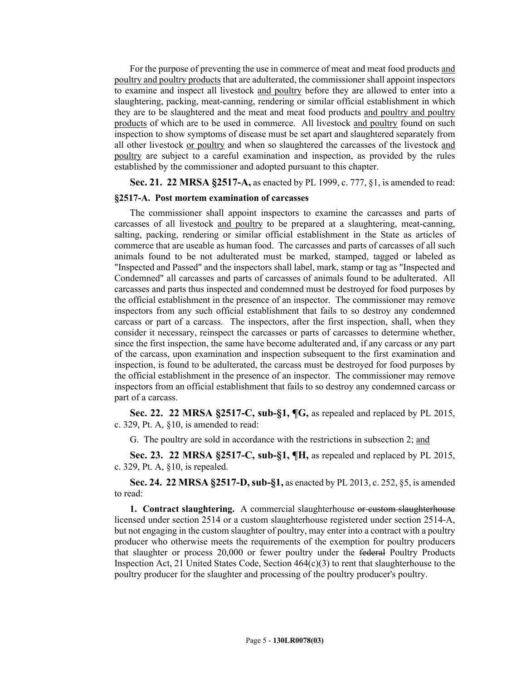For the purpose of preventing the use in commerce of meat and meat food products and poultry and poultry products that are adulterated, the commissioner shall appoint inspectors to examine and inspect all livestock and poultry before they are allowed to enter into a slaughtering, packing, meat-canning, rendering or similar official establishment in which they are to be slaughtered and the meat and meat food products and poultry and poultry products of which are to be used in commerce. All livestock and poultry found on such inspection to show symptoms of disease must be set apart and slaughtered separately from all other livestock or poultry and when so slaughtered the carcasses of the livestock and poultry are subject to a careful examination and inspection, as provided by the rules established by the commissioner and adopted pursuant to this chapter.

**Sec. 21. 22 MRSA §2517-A,** as enacted by PL 1999, c. 777, §1, is amended to read:

#### **§2517-A. Post mortem examination of carcasses**

The commissioner shall appoint inspectors to examine the carcasses and parts of carcasses of all livestock and poultry to be prepared at a slaughtering, meat-canning, salting, packing, rendering or similar official establishment in the State as articles of commerce that are useable as human food. The carcasses and parts of carcasses of all such animals found to be not adulterated must be marked, stamped, tagged or labeled as "Inspected and Passed" and the inspectors shall label, mark, stamp or tag as "Inspected and Condemned" all carcasses and parts of carcasses of animals found to be adulterated. All carcasses and parts thus inspected and condemned must be destroyed for food purposes by the official establishment in the presence of an inspector. The commissioner may remove inspectors from any such official establishment that fails to so destroy any condemned carcass or part of a carcass. The inspectors, after the first inspection, shall, when they consider it necessary, reinspect the carcasses or parts of carcasses to determine whether, since the first inspection, the same have become adulterated and, if any carcass or any part of the carcass, upon examination and inspection subsequent to the first examination and inspection, is found to be adulterated, the carcass must be destroyed for food purposes by the official establishment in the presence of an inspector. The commissioner may remove inspectors from an official establishment that fails to so destroy any condemned carcass or part of a carcass.

**Sec. 22. 22 MRSA §2517-C, sub-§1, ¶G,** as repealed and replaced by PL 2015, c. 329, Pt. A, §10, is amended to read:

G. The poultry are sold in accordance with the restrictions in subsection 2; and

**Sec. 23. 22 MRSA §2517-C, sub-§1, ¶H,** as repealed and replaced by PL 2015, c. 329, Pt. A, §10, is repealed.

**Sec. 24. 22 MRSA §2517-D, sub-§1,** as enacted by PL 2013, c. 252, §5, is amended to read:

**1. Contract slaughtering.** A commercial slaughterhouse or custom slaughterhouse licensed under section 2514 or a custom slaughterhouse registered under section 2514-A, but not engaging in the custom slaughter of poultry, may enter into a contract with a poultry producer who otherwise meets the requirements of the exemption for poultry producers that slaughter or process 20,000 or fewer poultry under the federal Poultry Products Inspection Act, 21 United States Code, Section 464(c)(3) to rent that slaughterhouse to the poultry producer for the slaughter and processing of the poultry producer's poultry.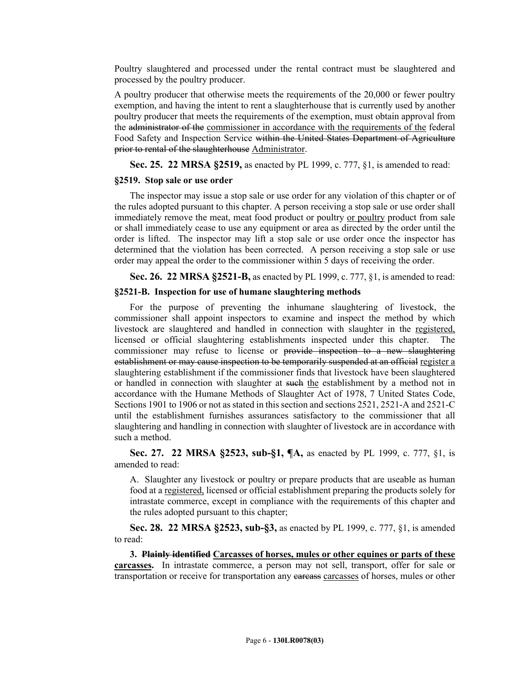Poultry slaughtered and processed under the rental contract must be slaughtered and processed by the poultry producer.

A poultry producer that otherwise meets the requirements of the 20,000 or fewer poultry exemption, and having the intent to rent a slaughterhouse that is currently used by another poultry producer that meets the requirements of the exemption, must obtain approval from the administrator of the commissioner in accordance with the requirements of the federal Food Safety and Inspection Service within the United States Department of Agriculture prior to rental of the slaughterhouse Administrator.

**Sec. 25. 22 MRSA §2519,** as enacted by PL 1999, c. 777, §1, is amended to read:

#### **§2519. Stop sale or use order**

The inspector may issue a stop sale or use order for any violation of this chapter or of the rules adopted pursuant to this chapter. A person receiving a stop sale or use order shall immediately remove the meat, meat food product or poultry or poultry product from sale or shall immediately cease to use any equipment or area as directed by the order until the order is lifted. The inspector may lift a stop sale or use order once the inspector has determined that the violation has been corrected. A person receiving a stop sale or use order may appeal the order to the commissioner within 5 days of receiving the order.

**Sec. 26. 22 MRSA §2521-B,** as enacted by PL 1999, c. 777, §1, is amended to read:

#### **§2521-B. Inspection for use of humane slaughtering methods**

For the purpose of preventing the inhumane slaughtering of livestock, the commissioner shall appoint inspectors to examine and inspect the method by which livestock are slaughtered and handled in connection with slaughter in the registered, licensed or official slaughtering establishments inspected under this chapter. The commissioner may refuse to license or provide inspection to a new slaughtering establishment or may cause inspection to be temporarily suspended at an official register a slaughtering establishment if the commissioner finds that livestock have been slaughtered or handled in connection with slaughter at such the establishment by a method not in accordance with the Humane Methods of Slaughter Act of 1978, 7 United States Code, Sections 1901 to 1906 or not as stated in this section and sections 2521, 2521-A and 2521-C until the establishment furnishes assurances satisfactory to the commissioner that all slaughtering and handling in connection with slaughter of livestock are in accordance with such a method.

**Sec. 27. 22 MRSA §2523, sub-§1, ¶A,** as enacted by PL 1999, c. 777, §1, is amended to read:

A. Slaughter any livestock or poultry or prepare products that are useable as human food at a registered, licensed or official establishment preparing the products solely for intrastate commerce, except in compliance with the requirements of this chapter and the rules adopted pursuant to this chapter;

**Sec. 28. 22 MRSA §2523, sub-§3,** as enacted by PL 1999, c. 777, §1, is amended to read:

**3. Plainly identified Carcasses of horses, mules or other equines or parts of these carcasses.** In intrastate commerce, a person may not sell, transport, offer for sale or transportation or receive for transportation any eareass carcasses of horses, mules or other